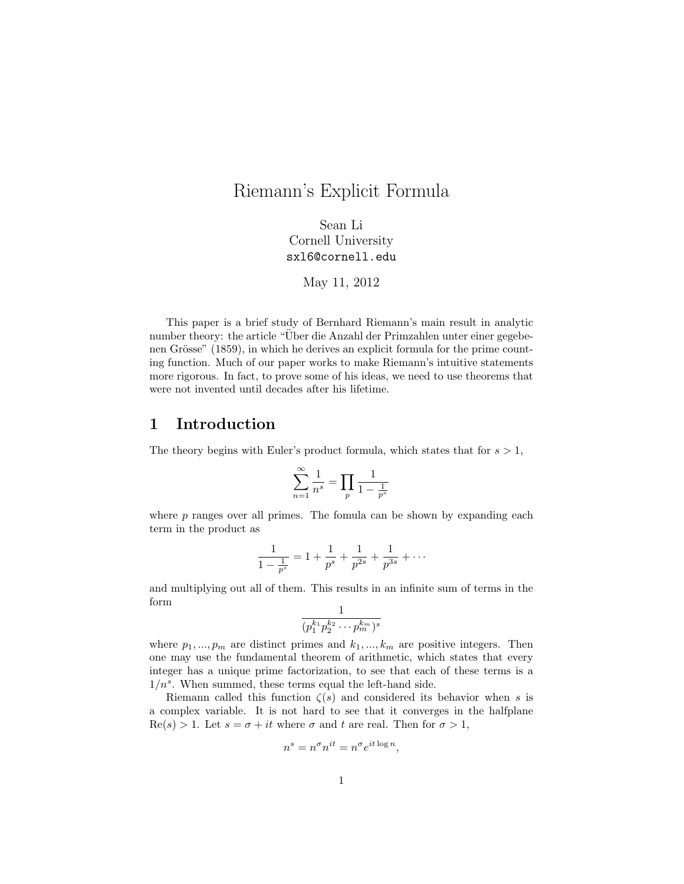# Riemann's Explicit Formula

Sean Li Cornell University sxl6@cornell.edu

May 11, 2012

This paper is a brief study of Bernhard Riemann's main result in analytic number theory: the article "Uber die Anzahl der Primzahlen unter einer gegebenen Grösse" (1859), in which he derives an explicit formula for the prime counting function. Much of our paper works to make Riemann's intuitive statements more rigorous. In fact, to prove some of his ideas, we need to use theorems that were not invented until decades after his lifetime.

# 1 Introduction

The theory begins with Euler's product formula, which states that for  $s > 1$ ,

$$
\sum_{n=1}^{\infty} \frac{1}{n^s} = \prod_p \frac{1}{1 - \frac{1}{p^s}}
$$

where  $p$  ranges over all primes. The fomula can be shown by expanding each term in the product as

$$
\frac{1}{1-\frac{1}{p^s}} = 1 + \frac{1}{p^s} + \frac{1}{p^{2s}} + \frac{1}{p^{3s}} + \cdots
$$

and multiplying out all of them. This results in an infinite sum of terms in the form 1

$$
\frac{1}{(p_1^{k_1}p_2^{k_2}\cdots p_m^{k_m})^s}
$$

where  $p_1, ..., p_m$  are distinct primes and  $k_1, ..., k_m$  are positive integers. Then one may use the fundamental theorem of arithmetic, which states that every integer has a unique prime factorization, to see that each of these terms is a  $1/n<sup>s</sup>$ . When summed, these terms equal the left-hand side.

Riemann called this function  $\zeta(s)$  and considered its behavior when s is a complex variable. It is not hard to see that it converges in the halfplane  $\text{Re}(s) > 1$ . Let  $s = \sigma + it$  where  $\sigma$  and  $t$  are real. Then for  $\sigma > 1$ ,

$$
n^s = n^{\sigma} n^{it} = n^{\sigma} e^{it \log n},
$$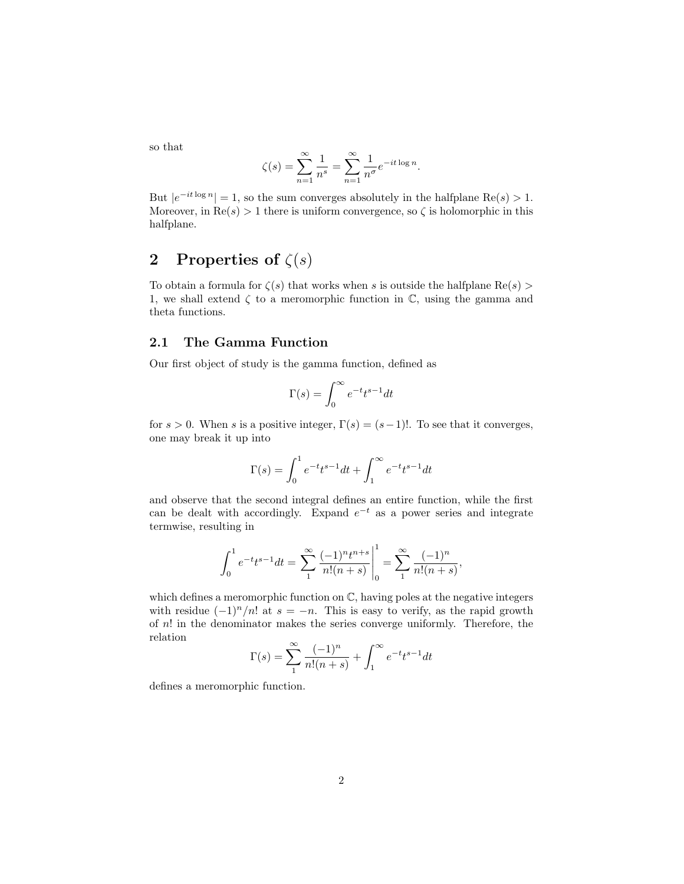so that

$$
\zeta(s) = \sum_{n=1}^{\infty} \frac{1}{n^s} = \sum_{n=1}^{\infty} \frac{1}{n^{\sigma}} e^{-it \log n}.
$$

But  $|e^{-it \log n}| = 1$ , so the sum converges absolutely in the halfplane Re $(s) > 1$ . Moreover, in  $\text{Re}(s) > 1$  there is uniform convergence, so  $\zeta$  is holomorphic in this halfplane.

# 2 Properties of  $\zeta(s)$

To obtain a formula for  $\zeta(s)$  that works when s is outside the halfplane Re(s) > 1, we shall extend  $\zeta$  to a meromorphic function in  $\mathbb{C}$ , using the gamma and theta functions.

#### 2.1 The Gamma Function

Our first object of study is the gamma function, defined as

$$
\Gamma(s)=\int_0^\infty e^{-t}t^{s-1}dt
$$

for  $s > 0$ . When s is a positive integer,  $\Gamma(s) = (s-1)!$ . To see that it converges, one may break it up into

$$
\Gamma(s) = \int_0^1 e^{-t} t^{s-1} dt + \int_1^{\infty} e^{-t} t^{s-1} dt
$$

and observe that the second integral defines an entire function, while the first can be dealt with accordingly. Expand  $e^{-t}$  as a power series and integrate termwise, resulting in

$$
\int_0^1 e^{-t} t^{s-1} dt = \sum_1^{\infty} \frac{(-1)^n t^{n+s}}{n!(n+s)} \bigg|_0^1 = \sum_1^{\infty} \frac{(-1)^n}{n!(n+s)},
$$

1

which defines a meromorphic function on  $\mathbb{C}$ , having poles at the negative integers with residue  $(-1)^n/n!$  at  $s = -n$ . This is easy to verify, as the rapid growth of  $n!$  in the denominator makes the series converge uniformly. Therefore, the relation

$$
\Gamma(s) = \sum_{n=1}^{\infty} \frac{(-1)^n}{n!(n+s)} + \int_{1}^{\infty} e^{-t} t^{s-1} dt
$$

defines a meromorphic function.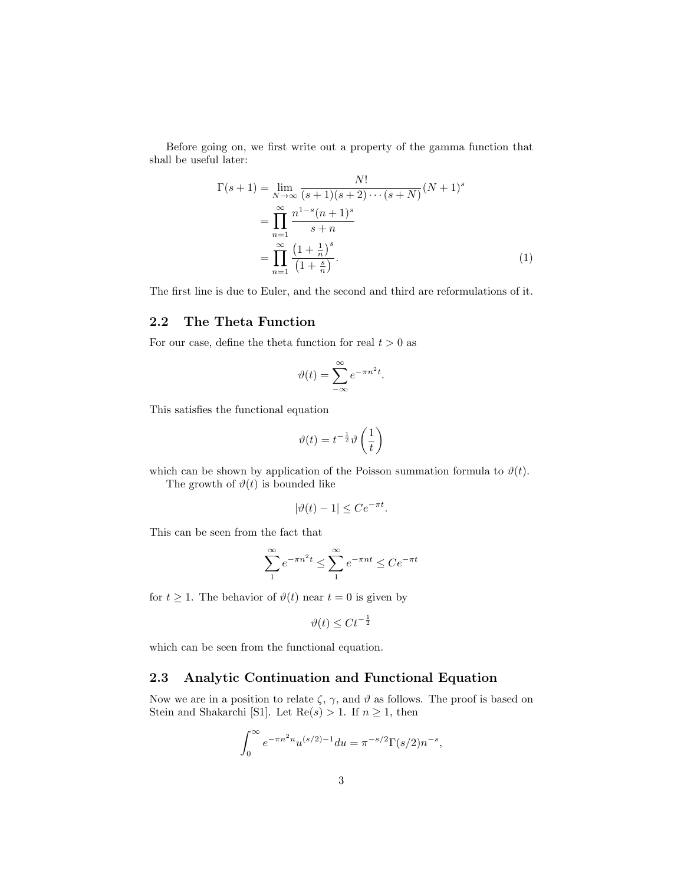Before going on, we first write out a property of the gamma function that shall be useful later:

$$
\Gamma(s+1) = \lim_{N \to \infty} \frac{N!}{(s+1)(s+2)\cdots(s+N)} (N+1)^s
$$
  
= 
$$
\prod_{n=1}^{\infty} \frac{n^{1-s}(n+1)^s}{s+n}
$$
  
= 
$$
\prod_{n=1}^{\infty} \frac{(1+\frac{1}{n})^s}{(1+\frac{s}{n})}.
$$
 (1)

The first line is due to Euler, and the second and third are reformulations of it.

# 2.2 The Theta Function

For our case, define the theta function for real  $t > 0$  as

$$
\vartheta(t) = \sum_{-\infty}^{\infty} e^{-\pi n^2 t}.
$$

This satisfies the functional equation

$$
\vartheta(t) = t^{-\frac{1}{2}} \vartheta\left(\frac{1}{t}\right)
$$

which can be shown by application of the Poisson summation formula to  $\vartheta(t)$ .

The growth of  $\vartheta(t)$  is bounded like

$$
|\vartheta(t) - 1| \le Ce^{-\pi t}.
$$

This can be seen from the fact that

$$
\sum_{1}^{\infty} e^{-\pi n^2 t} \le \sum_{1}^{\infty} e^{-\pi nt} \le C e^{-\pi t}
$$

for  $t \geq 1$ . The behavior of  $\vartheta(t)$  near  $t = 0$  is given by

$$
\vartheta(t) \leq C t^{-\frac{1}{2}}
$$

which can be seen from the functional equation.

### 2.3 Analytic Continuation and Functional Equation

Now we are in a position to relate  $\zeta$ ,  $\gamma$ , and  $\vartheta$  as follows. The proof is based on Stein and Shakarchi [S1]. Let  $\text{Re}(s) > 1$ . If  $n \geq 1$ , then

$$
\int_0^\infty e^{-\pi n^2 u} u^{(s/2)-1} du = \pi^{-s/2} \Gamma(s/2) n^{-s},
$$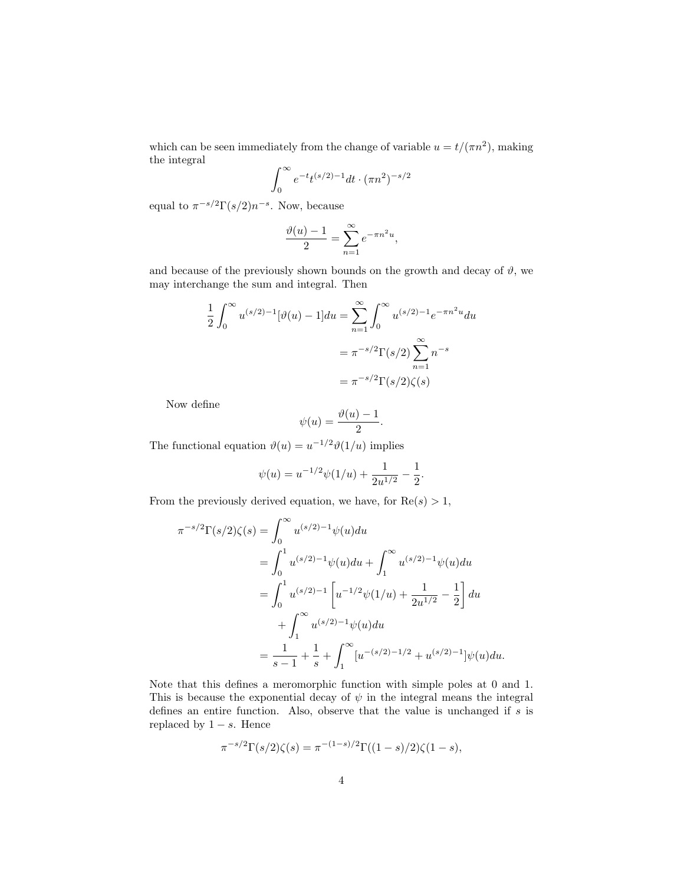which can be seen immediately from the change of variable  $u = t/(\pi n^2)$ , making the integral

$$
\int_0^\infty e^{-t} t^{(s/2)-1} dt \cdot (\pi n^2)^{-s/2}
$$

equal to  $\pi^{-s/2}\Gamma(s/2)n^{-s}$ . Now, because

$$
\frac{\vartheta(u)-1}{2} = \sum_{n=1}^{\infty} e^{-\pi n^2 u},
$$

and because of the previously shown bounds on the growth and decay of  $\vartheta$ , we may interchange the sum and integral. Then

$$
\frac{1}{2} \int_0^\infty u^{(s/2)-1} [\vartheta(u) - 1] du = \sum_{n=1}^\infty \int_0^\infty u^{(s/2)-1} e^{-\pi n^2 u} du
$$

$$
= \pi^{-s/2} \Gamma(s/2) \sum_{n=1}^\infty n^{-s}
$$

$$
= \pi^{-s/2} \Gamma(s/2) \zeta(s)
$$

Now define

$$
\psi(u) = \frac{\vartheta(u) - 1}{2}.
$$

The functional equation  $\vartheta(u) = u^{-1/2}\vartheta(1/u)$  implies

$$
\psi(u) = u^{-1/2}\psi(1/u) + \frac{1}{2u^{1/2}} - \frac{1}{2}.
$$

From the previously derived equation, we have, for  $Re(s) > 1$ ,

$$
\pi^{-s/2}\Gamma(s/2)\zeta(s) = \int_0^\infty u^{(s/2)-1}\psi(u)du
$$
  
= 
$$
\int_0^1 u^{(s/2)-1}\psi(u)du + \int_1^\infty u^{(s/2)-1}\psi(u)du
$$
  
= 
$$
\int_0^1 u^{(s/2)-1}\left[u^{-1/2}\psi(1/u) + \frac{1}{2u^{1/2}} - \frac{1}{2}\right]du
$$
  
+ 
$$
\int_1^\infty u^{(s/2)-1}\psi(u)du
$$
  
= 
$$
\frac{1}{s-1} + \frac{1}{s} + \int_1^\infty [u^{-(s/2)-1/2} + u^{(s/2)-1}]\psi(u)du.
$$

Note that this defines a meromorphic function with simple poles at 0 and 1. This is because the exponential decay of  $\psi$  in the integral means the integral defines an entire function. Also, observe that the value is unchanged if s is replaced by  $1 - s$ . Hence

$$
\pi^{-s/2} \Gamma(s/2) \zeta(s) = \pi^{-(1-s)/2} \Gamma((1-s)/2) \zeta(1-s),
$$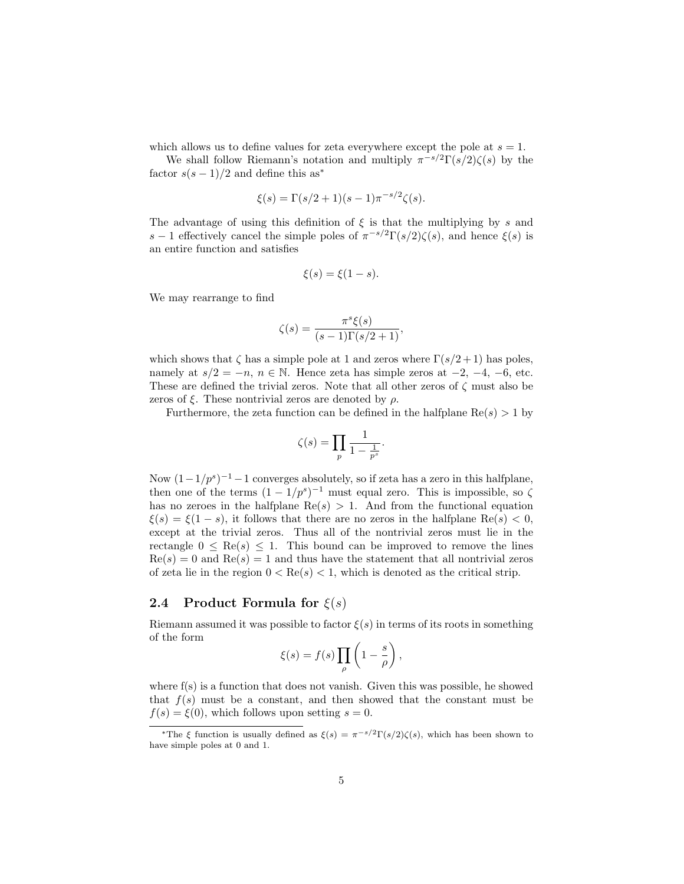which allows us to define values for zeta everywhere except the pole at  $s = 1$ .

We shall follow Riemann's notation and multiply  $\pi^{-s/2}\Gamma(s/2)\zeta(s)$  by the factor  $s(s-1)/2$  and define this as<sup>\*</sup>

$$
\xi(s) = \Gamma(s/2 + 1)(s - 1)\pi^{-s/2}\zeta(s).
$$

The advantage of using this definition of  $\xi$  is that the multiplying by s and s – 1 effectively cancel the simple poles of  $\pi^{-s/2}\Gamma(s/2)\zeta(s)$ , and hence  $\xi(s)$  is an entire function and satisfies

$$
\xi(s) = \xi(1-s).
$$

We may rearrange to find

$$
\zeta(s) = \frac{\pi^s \xi(s)}{(s-1)\Gamma(s/2+1)},
$$

which shows that  $\zeta$  has a simple pole at 1 and zeros where  $\Gamma(s/2+1)$  has poles, namely at  $s/2 = -n$ ,  $n \in \mathbb{N}$ . Hence zeta has simple zeros at  $-2$ ,  $-4$ ,  $-6$ , etc. These are defined the trivial zeros. Note that all other zeros of  $\zeta$  must also be zeros of  $\xi$ . These nontrivial zeros are denoted by  $\rho$ .

Furthermore, the zeta function can be defined in the halfplane  $\text{Re}(s) > 1$  by

$$
\zeta(s)=\prod_{p}\frac{1}{1-\frac{1}{p^s}}.
$$

Now  $(1-1/p^s)^{-1} - 1$  converges absolutely, so if zeta has a zero in this halfplane, then one of the terms  $(1 - 1/p^s)^{-1}$  must equal zero. This is impossible, so  $\zeta$ has no zeroes in the halfplane  $\text{Re}(s) > 1$ . And from the functional equation  $\xi(s) = \xi(1-s)$ , it follows that there are no zeros in the halfplane Re $(s) < 0$ , except at the trivial zeros. Thus all of the nontrivial zeros must lie in the rectangle  $0 \leq \text{Re}(s) \leq 1$ . This bound can be improved to remove the lines  $Re(s) = 0$  and  $Re(s) = 1$  and thus have the statement that all nontrivial zeros of zeta lie in the region  $0 < \text{Re}(s) < 1$ , which is denoted as the critical strip.

#### 2.4 Product Formula for  $\xi(s)$

Riemann assumed it was possible to factor  $\xi(s)$  in terms of its roots in something of the form

$$
\xi(s) = f(s) \prod_{\rho} \left( 1 - \frac{s}{\rho} \right),
$$

where  $f(s)$  is a function that does not vanish. Given this was possible, he showed that  $f(s)$  must be a constant, and then showed that the constant must be  $f(s) = \xi(0)$ , which follows upon setting  $s = 0$ .

<sup>&</sup>lt;sup>\*</sup>The ξ function is usually defined as  $\xi(s) = \pi^{-s/2} \Gamma(s/2) \zeta(s)$ , which has been shown to have simple poles at 0 and 1.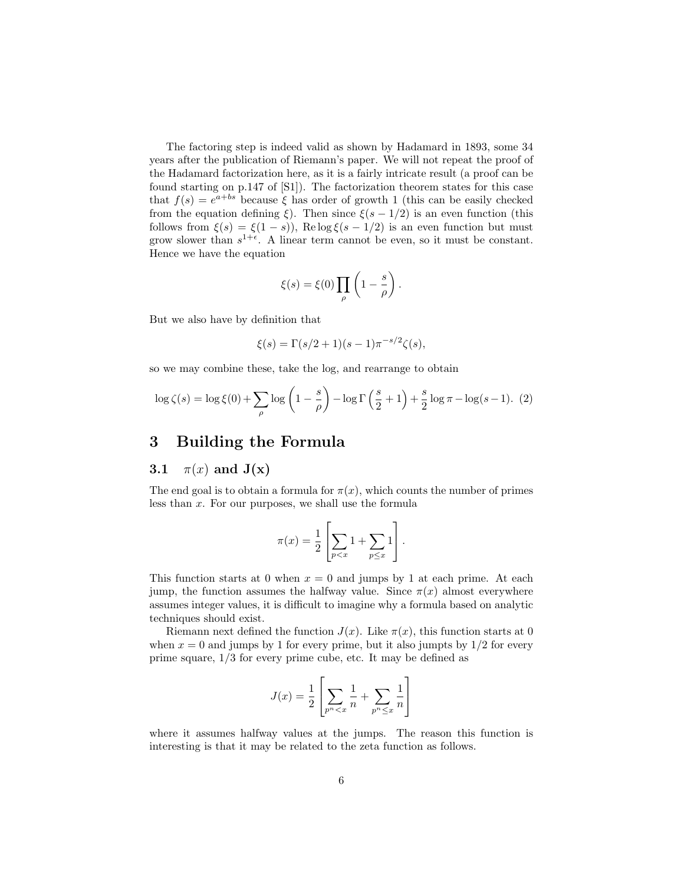The factoring step is indeed valid as shown by Hadamard in 1893, some 34 years after the publication of Riemann's paper. We will not repeat the proof of the Hadamard factorization here, as it is a fairly intricate result (a proof can be found starting on p.147 of [S1]). The factorization theorem states for this case that  $f(s) = e^{a + bs}$  because  $\xi$  has order of growth 1 (this can be easily checked from the equation defining ξ). Then since  $\xi(s-1/2)$  is an even function (this follows from  $\xi(s) = \xi(1-s)$ , Re log  $\xi(s-1/2)$  is an even function but must grow slower than  $s^{1+\epsilon}$ . A linear term cannot be even, so it must be constant. Hence we have the equation

$$
\xi(s) = \xi(0) \prod_{\rho} \left( 1 - \frac{s}{\rho} \right).
$$

But we also have by definition that

$$
\xi(s) = \Gamma(s/2 + 1)(s - 1)\pi^{-s/2}\zeta(s),
$$

so we may combine these, take the log, and rearrange to obtain

$$
\log \zeta(s) = \log \xi(0) + \sum_{\rho} \log \left( 1 - \frac{s}{\rho} \right) - \log \Gamma \left( \frac{s}{2} + 1 \right) + \frac{s}{2} \log \pi - \log(s - 1). \tag{2}
$$

## 3 Building the Formula

### 3.1  $\pi(x)$  and  $J(x)$

The end goal is to obtain a formula for  $\pi(x)$ , which counts the number of primes less than  $x$ . For our purposes, we shall use the formula

$$
\pi(x) = \frac{1}{2} \left[ \sum_{p < x} 1 + \sum_{p \leq x} 1 \right].
$$

This function starts at 0 when  $x = 0$  and jumps by 1 at each prime. At each jump, the function assumes the halfway value. Since  $\pi(x)$  almost everywhere assumes integer values, it is difficult to imagine why a formula based on analytic techniques should exist.

Riemann next defined the function  $J(x)$ . Like  $\pi(x)$ , this function starts at 0 when  $x = 0$  and jumps by 1 for every prime, but it also jumpts by  $1/2$  for every prime square, 1/3 for every prime cube, etc. It may be defined as

$$
J(x) = \frac{1}{2} \left[ \sum_{p^n < x} \frac{1}{n} + \sum_{p^n \le x} \frac{1}{n} \right]
$$

where it assumes halfway values at the jumps. The reason this function is interesting is that it may be related to the zeta function as follows.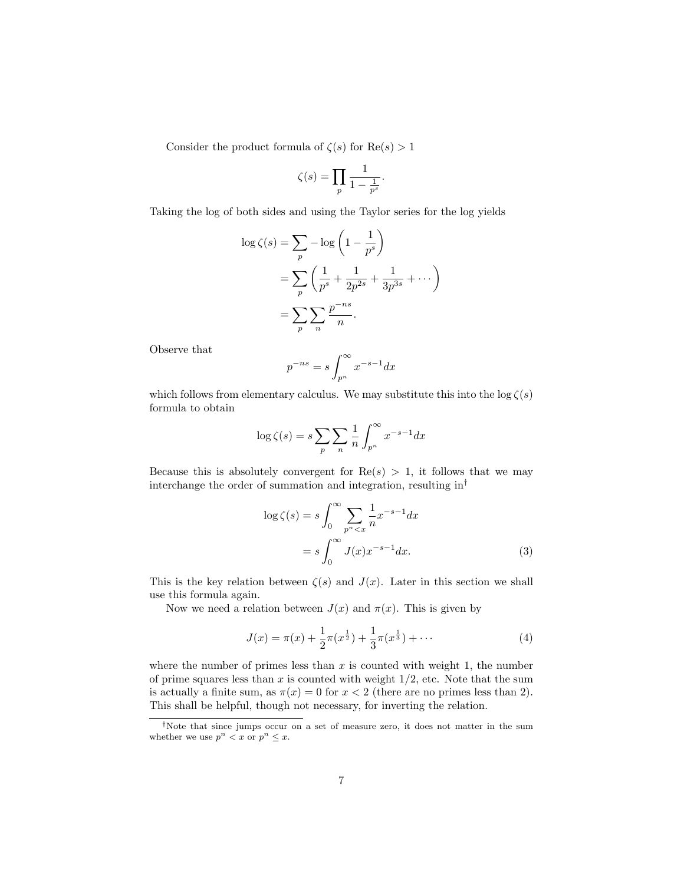Consider the product formula of  $\zeta(s)$  for  $\text{Re}(s) > 1$ 

$$
\zeta(s) = \prod_{p} \frac{1}{1 - \frac{1}{p^s}}.
$$

Taking the log of both sides and using the Taylor series for the log yields

$$
\log \zeta(s) = \sum_{p} -\log\left(1 - \frac{1}{p^{s}}\right)
$$

$$
= \sum_{p} \left(\frac{1}{p^{s}} + \frac{1}{2p^{2s}} + \frac{1}{3p^{3s}} + \cdots\right)
$$

$$
= \sum_{p} \sum_{n} \frac{p^{-ns}}{n}.
$$

Observe that

$$
p^{-ns} = s \int_{p^n}^{\infty} x^{-s-1} dx
$$

which follows from elementary calculus. We may substitute this into the  $\log \zeta(s)$ formula to obtain

$$
\log \zeta(s) = s \sum_{p} \sum_{n} \frac{1}{n} \int_{p^{n}}^{\infty} x^{-s-1} dx
$$

Because this is absolutely convergent for  $Re(s) > 1$ , it follows that we may interchange the order of summation and integration, resulting in†

$$
\log \zeta(s) = s \int_0^\infty \sum_{p^n < x} \frac{1}{n} x^{-s-1} dx
$$
\n
$$
= s \int_0^\infty J(x) x^{-s-1} dx. \tag{3}
$$

This is the key relation between  $\zeta(s)$  and  $J(x)$ . Later in this section we shall use this formula again.

Now we need a relation between  $J(x)$  and  $\pi(x)$ . This is given by

$$
J(x) = \pi(x) + \frac{1}{2}\pi(x^{\frac{1}{2}}) + \frac{1}{3}\pi(x^{\frac{1}{3}}) + \cdots
$$
 (4)

where the number of primes less than  $x$  is counted with weight 1, the number of prime squares less than  $x$  is counted with weight  $1/2$ , etc. Note that the sum is actually a finite sum, as  $\pi(x) = 0$  for  $x < 2$  (there are no primes less than 2). This shall be helpful, though not necessary, for inverting the relation.

<sup>†</sup>Note that since jumps occur on a set of measure zero, it does not matter in the sum whether we use  $p^n < x$  or  $p^n \leq x$ .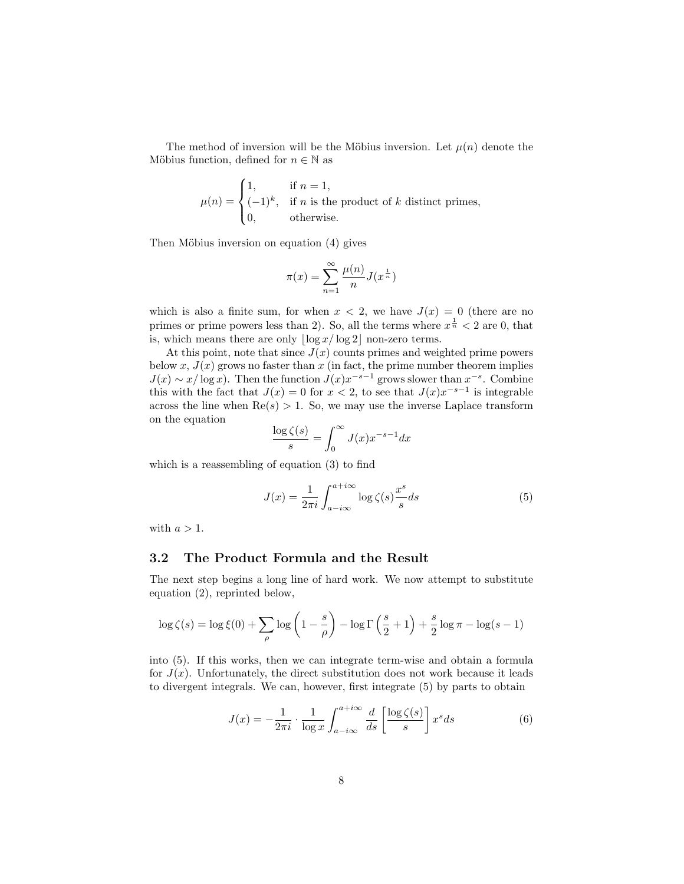The method of inversion will be the Möbius inversion. Let  $\mu(n)$  denote the Möbius function, defined for  $n \in \mathbb{N}$  as

$$
\mu(n) = \begin{cases} 1, & \text{if } n = 1, \\ (-1)^k, & \text{if } n \text{ is the product of } k \text{ distinct primes,} \\ 0, & \text{otherwise.} \end{cases}
$$

Then Möbius inversion on equation (4) gives

$$
\pi(x) = \sum_{n=1}^{\infty} \frac{\mu(n)}{n} J(x^{\frac{1}{n}})
$$

which is also a finite sum, for when  $x < 2$ , we have  $J(x) = 0$  (there are no primes or prime powers less than 2). So, all the terms where  $x^{\frac{1}{n}} < 2$  are 0, that is, which means there are only  $\lfloor \log x / \log 2 \rfloor$  non-zero terms.

At this point, note that since  $J(x)$  counts primes and weighted prime powers below x,  $J(x)$  grows no faster than x (in fact, the prime number theorem implies  $J(x) \sim x/\log x$ . Then the function  $J(x)x^{-s-1}$  grows slower than  $x^{-s}$ . Combine this with the fact that  $J(x) = 0$  for  $x < 2$ , to see that  $J(x)x^{-s-1}$  is integrable across the line when  $\text{Re}(s) > 1$ . So, we may use the inverse Laplace transform on the equation

$$
\frac{\log \zeta(s)}{s} = \int_0^\infty J(x) x^{-s-1} dx
$$

which is a reassembling of equation (3) to find

$$
J(x) = \frac{1}{2\pi i} \int_{a - i\infty}^{a + i\infty} \log \zeta(s) \frac{x^s}{s} ds
$$
 (5)

with  $a > 1$ .

### 3.2 The Product Formula and the Result

The next step begins a long line of hard work. We now attempt to substitute equation (2), reprinted below,

$$
\log \zeta(s) = \log \xi(0) + \sum_{\rho} \log \left(1 - \frac{s}{\rho}\right) - \log \Gamma\left(\frac{s}{2} + 1\right) + \frac{s}{2} \log \pi - \log(s - 1)
$$

into (5). If this works, then we can integrate term-wise and obtain a formula for  $J(x)$ . Unfortunately, the direct substitution does not work because it leads to divergent integrals. We can, however, first integrate (5) by parts to obtain

$$
J(x) = -\frac{1}{2\pi i} \cdot \frac{1}{\log x} \int_{a-i\infty}^{a+i\infty} \frac{d}{ds} \left[ \frac{\log \zeta(s)}{s} \right] x^s ds \tag{6}
$$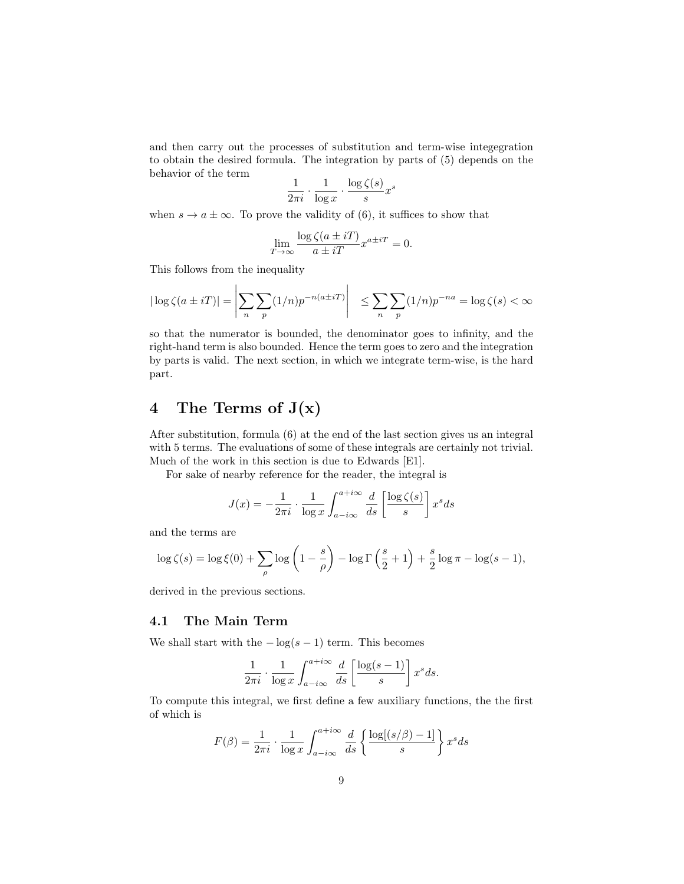and then carry out the processes of substitution and term-wise integegration to obtain the desired formula. The integration by parts of (5) depends on the behavior of the term

$$
\frac{1}{2\pi i} \cdot \frac{1}{\log x} \cdot \frac{\log \zeta(s)}{s} x^s
$$

when  $s \to a \pm \infty$ . To prove the validity of (6), it suffices to show that

$$
\lim_{T \to \infty} \frac{\log \zeta(a \pm iT)}{a \pm iT} x^{a \pm iT} = 0.
$$

This follows from the inequality

 $\mathbf{r}$ 

$$
|\log \zeta(a \pm iT)| = \left| \sum_{n} \sum_{p} (1/n)p^{-n(a \pm iT)} \right| \le \sum_{n} \sum_{p} (1/n)p^{-na} = \log \zeta(s) < \infty
$$

so that the numerator is bounded, the denominator goes to infinity, and the right-hand term is also bounded. Hence the term goes to zero and the integration by parts is valid. The next section, in which we integrate term-wise, is the hard part.

# 4 The Terms of  $J(x)$

After substitution, formula (6) at the end of the last section gives us an integral with 5 terms. The evaluations of some of these integrals are certainly not trivial. Much of the work in this section is due to Edwards [E1].

For sake of nearby reference for the reader, the integral is

$$
J(x) = -\frac{1}{2\pi i} \cdot \frac{1}{\log x} \int_{a-i\infty}^{a+i\infty} \frac{d}{ds} \left[ \frac{\log \zeta(s)}{s} \right] x^s ds
$$

and the terms are

$$
\log \zeta(s) = \log \xi(0) + \sum_{\rho} \log \left( 1 - \frac{s}{\rho} \right) - \log \Gamma \left( \frac{s}{2} + 1 \right) + \frac{s}{2} \log \pi - \log(s - 1),
$$

derived in the previous sections.

### 4.1 The Main Term

We shall start with the  $-\log(s-1)$  term. This becomes

$$
\frac{1}{2\pi i} \cdot \frac{1}{\log x} \int_{a-i\infty}^{a+i\infty} \frac{d}{ds} \left[ \frac{\log(s-1)}{s} \right] x^s ds.
$$

To compute this integral, we first define a few auxiliary functions, the the first of which is

$$
F(\beta) = \frac{1}{2\pi i} \cdot \frac{1}{\log x} \int_{a - i\infty}^{a + i\infty} \frac{d}{ds} \left\{ \frac{\log[(s/\beta) - 1]}{s} \right\} x^s ds
$$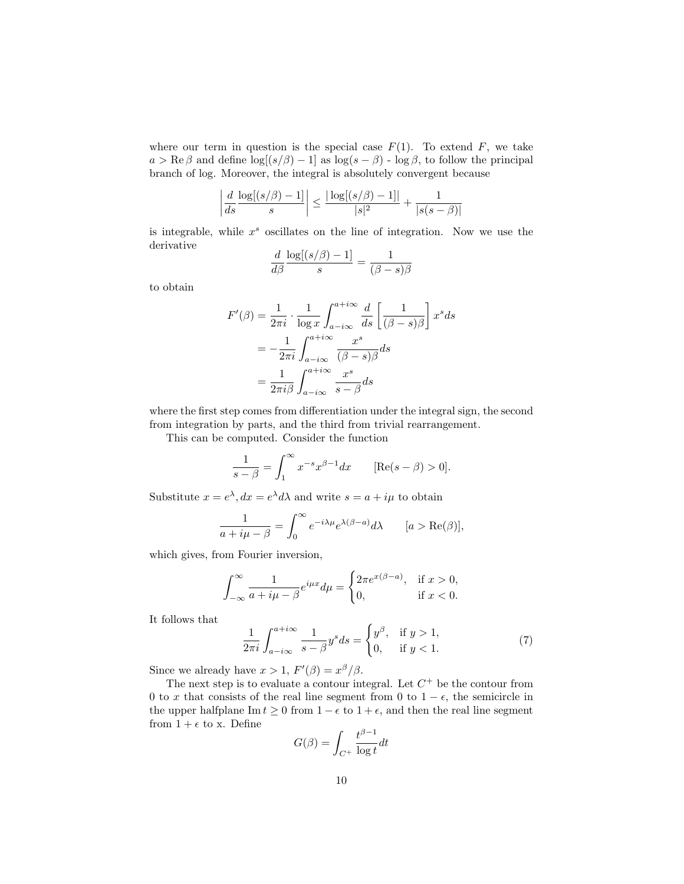where our term in question is the special case  $F(1)$ . To extend F, we take  $a > \text{Re}\,\beta$  and define  $\log[(s/\beta) - 1]$  as  $\log(s - \beta)$  -  $\log \beta$ , to follow the principal branch of log. Moreover, the integral is absolutely convergent because

$$
\left|\frac{d}{ds}\frac{\log[(s/\beta)-1]}{s}\right| \le \frac{|\log[(s/\beta)-1]|}{|s|^2} + \frac{1}{|s(s-\beta)|}
$$

is integrable, while  $x^s$  oscillates on the line of integration. Now we use the derivative

$$
\frac{d}{d\beta} \frac{\log[(s/\beta) - 1]}{s} = \frac{1}{(\beta - s)\beta}
$$

to obtain

$$
F'(\beta) = \frac{1}{2\pi i} \cdot \frac{1}{\log x} \int_{a - i\infty}^{a + i\infty} \frac{d}{ds} \left[ \frac{1}{(\beta - s)\beta} \right] x^s ds
$$
  
= 
$$
-\frac{1}{2\pi i} \int_{a - i\infty}^{a + i\infty} \frac{x^s}{(\beta - s)\beta} ds
$$
  
= 
$$
\frac{1}{2\pi i\beta} \int_{a - i\infty}^{a + i\infty} \frac{x^s}{s - \beta} ds
$$

where the first step comes from differentiation under the integral sign, the second from integration by parts, and the third from trivial rearrangement.

This can be computed. Consider the function

$$
\frac{1}{s-\beta} = \int_1^{\infty} x^{-s} x^{\beta-1} dx \qquad [\text{Re}(s-\beta) > 0].
$$

Substitute  $x = e^{\lambda}, dx = e^{\lambda} d\lambda$  and write  $s = a + i\mu$  to obtain

$$
\frac{1}{a+i\mu-\beta} = \int_0^\infty e^{-i\lambda\mu} e^{\lambda(\beta-a)} d\lambda \qquad [a > \text{Re}(\beta)],
$$

which gives, from Fourier inversion,

$$
\int_{-\infty}^{\infty} \frac{1}{a + i\mu - \beta} e^{i\mu x} d\mu = \begin{cases} 2\pi e^{x(\beta - a)}, & \text{if } x > 0, \\ 0, & \text{if } x < 0. \end{cases}
$$

It follows that

$$
\frac{1}{2\pi i} \int_{a-i\infty}^{a+i\infty} \frac{1}{s-\beta} y^s ds = \begin{cases} y^\beta, & \text{if } y > 1, \\ 0, & \text{if } y < 1. \end{cases}
$$
 (7)

Since we already have  $x > 1$ ,  $F'(\beta) = x^{\beta}/\beta$ .

The next step is to evaluate a contour integral. Let  $C^+$  be the contour from 0 to x that consists of the real line segment from 0 to  $1 - \epsilon$ , the semicircle in the upper halfplane Im  $t \geq 0$  from  $1 - \epsilon$  to  $1 + \epsilon$ , and then the real line segment from  $1 + \epsilon$  to x. Define

$$
G(\beta) = \int_{C^+} \frac{t^{\beta - 1}}{\log t} dt
$$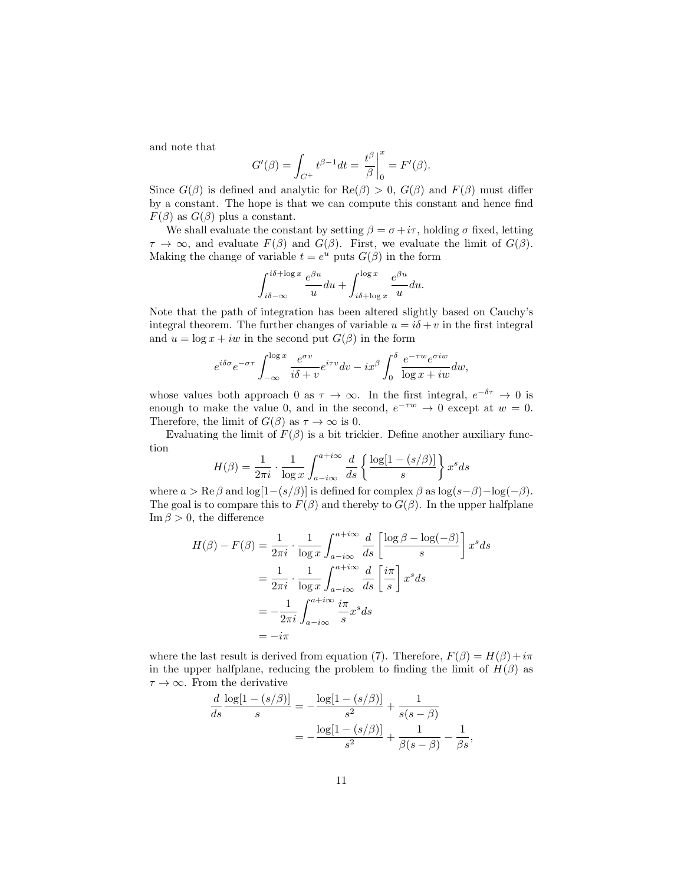and note that

$$
G'(\beta) = \int_{C^+} t^{\beta - 1} dt = \left. \frac{t^{\beta}}{\beta} \right|_0^x = F'(\beta).
$$

Since  $G(\beta)$  is defined and analytic for  $\text{Re}(\beta) > 0$ ,  $G(\beta)$  and  $F(\beta)$  must differ by a constant. The hope is that we can compute this constant and hence find  $F(\beta)$  as  $G(\beta)$  plus a constant.

We shall evaluate the constant by setting  $\beta = \sigma + i\tau$ , holding  $\sigma$  fixed, letting  $\tau \to \infty$ , and evaluate  $F(\beta)$  and  $G(\beta)$ . First, we evaluate the limit of  $G(\beta)$ . Making the change of variable  $t = e^u$  puts  $G(\beta)$  in the form

$$
\int_{i\delta-\infty}^{i\delta+\log x} \frac{e^{\beta u}}{u} du + \int_{i\delta+\log x}^{\log x} \frac{e^{\beta u}}{u} du.
$$

Note that the path of integration has been altered slightly based on Cauchy's integral theorem. The further changes of variable  $u = i\delta + v$  in the first integral and  $u = \log x + iw$  in the second put  $G(\beta)$  in the form

$$
e^{i\delta\sigma}e^{-\sigma\tau}\int_{-\infty}^{\log x}\frac{e^{\sigma v}}{i\delta+v}e^{i\tau v}dv - ix^{\beta}\int_{0}^{\delta}\frac{e^{-\tau w}e^{\sigma iw}}{\log x + iw}dw,
$$

whose values both approach 0 as  $\tau \to \infty$ . In the first integral,  $e^{-\delta \tau} \to 0$  is enough to make the value 0, and in the second,  $e^{-\tau w} \to 0$  except at  $w = 0$ . Therefore, the limit of  $G(\beta)$  as  $\tau \to \infty$  is 0.

Evaluating the limit of  $F(\beta)$  is a bit trickier. Define another auxiliary function

$$
H(\beta) = \frac{1}{2\pi i} \cdot \frac{1}{\log x} \int_{a-i\infty}^{a+i\infty} \frac{d}{ds} \left\{ \frac{\log[1 - (s/\beta)]}{s} \right\} x^s ds
$$

where  $a > \text{Re }\beta$  and  $\log[1-(s/\beta)]$  is defined for complex  $\beta$  as  $\log(s-\beta)-\log(-\beta)$ . The goal is to compare this to  $F(\beta)$  and thereby to  $G(\beta)$ . In the upper halfplane Im  $\beta > 0$ , the difference

$$
H(\beta) - F(\beta) = \frac{1}{2\pi i} \cdot \frac{1}{\log x} \int_{a - i\infty}^{a + i\infty} \frac{d}{ds} \left[ \frac{\log \beta - \log(-\beta)}{s} \right] x^s ds
$$
  

$$
= \frac{1}{2\pi i} \cdot \frac{1}{\log x} \int_{a - i\infty}^{a + i\infty} \frac{d}{ds} \left[ \frac{i\pi}{s} \right] x^s ds
$$
  

$$
= -\frac{1}{2\pi i} \int_{a - i\infty}^{a + i\infty} \frac{i\pi}{s} x^s ds
$$
  

$$
= -i\pi
$$

where the last result is derived from equation (7). Therefore,  $F(\beta) = H(\beta) + i\pi$ in the upper halfplane, reducing the problem to finding the limit of  $H(\beta)$  as  $\tau \to \infty$ . From the derivative

$$
\frac{d}{ds} \frac{\log[1 - (s/\beta)]}{s} = -\frac{\log[1 - (s/\beta)]}{s^2} + \frac{1}{s(s - \beta)}
$$

$$
= -\frac{\log[1 - (s/\beta)]}{s^2} + \frac{1}{\beta(s - \beta)} - \frac{1}{\beta s},
$$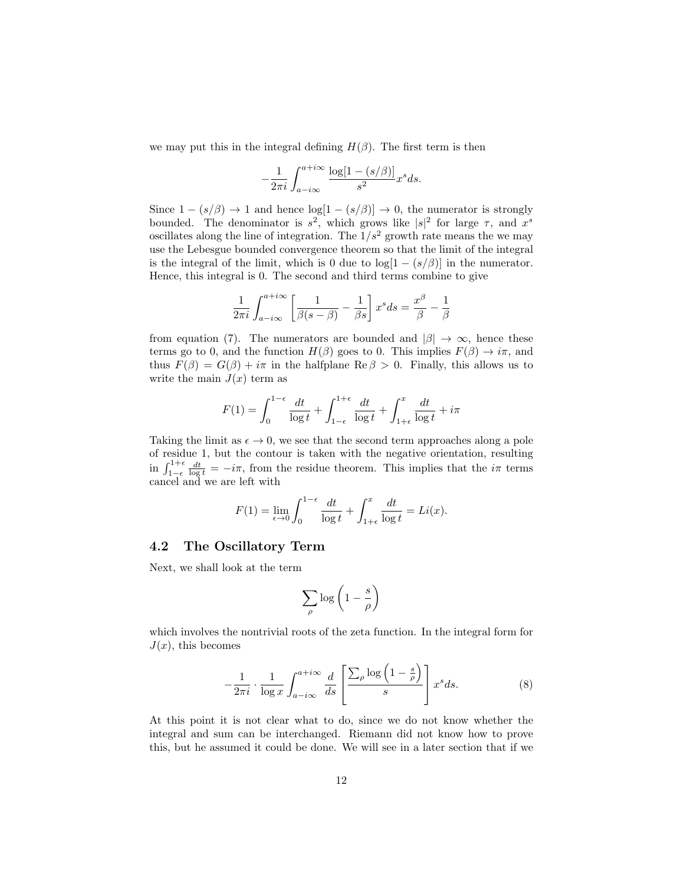we may put this in the integral defining  $H(\beta)$ . The first term is then

$$
-\frac{1}{2\pi i} \int_{a-i\infty}^{a+i\infty} \frac{\log[1-(s/\beta)]}{s^2} x^s ds.
$$

Since  $1 - (s/\beta) \rightarrow 1$  and hence  $\log[1 - (s/\beta)] \rightarrow 0$ , the numerator is strongly bounded. The denominator is  $s^2$ , which grows like  $|s|^2$  for large  $\tau$ , and  $x^s$ oscillates along the line of integration. The  $1/s^2$  growth rate means the we may use the Lebesgue bounded convergence theorem so that the limit of the integral is the integral of the limit, which is 0 due to  $log[1 - (s/\beta)]$  in the numerator. Hence, this integral is 0. The second and third terms combine to give

$$
\frac{1}{2\pi i}\int_{a-i\infty}^{a+i\infty}\left[\frac{1}{\beta(s-\beta)}-\frac{1}{\beta s}\right] x^s ds=\frac{x^\beta}{\beta}-\frac{1}{\beta}
$$

from equation (7). The numerators are bounded and  $|\beta| \to \infty$ , hence these terms go to 0, and the function  $H(\beta)$  goes to 0. This implies  $F(\beta) \to i\pi$ , and thus  $F(\beta) = G(\beta) + i\pi$  in the halfplane Re  $\beta > 0$ . Finally, this allows us to write the main  $J(x)$  term as

$$
F(1) = \int_0^{1-\epsilon} \frac{dt}{\log t} + \int_{1-\epsilon}^{1+\epsilon} \frac{dt}{\log t} + \int_{1+\epsilon}^x \frac{dt}{\log t} + i\pi
$$

Taking the limit as  $\epsilon \to 0$ , we see that the second term approaches along a pole of residue 1, but the contour is taken with the negative orientation, resulting in  $\int_{1-\epsilon}^{1+\epsilon} \frac{dt}{\log t} = -i\pi$ , from the residue theorem. This implies that the  $i\pi$  terms cancel and we are left with

$$
F(1) = \lim_{\epsilon \to 0} \int_0^{1-\epsilon} \frac{dt}{\log t} + \int_{1+\epsilon}^x \frac{dt}{\log t} = Li(x).
$$

#### 4.2 The Oscillatory Term

Next, we shall look at the term

$$
\sum_{\rho} \log \left( 1 - \frac{s}{\rho} \right)
$$

which involves the nontrivial roots of the zeta function. In the integral form for  $J(x)$ , this becomes

$$
-\frac{1}{2\pi i} \cdot \frac{1}{\log x} \int_{a-i\infty}^{a+i\infty} \frac{d}{ds} \left[ \frac{\sum_{\rho} \log \left(1 - \frac{s}{\rho}\right)}{s} \right] x^s ds. \tag{8}
$$

At this point it is not clear what to do, since we do not know whether the integral and sum can be interchanged. Riemann did not know how to prove this, but he assumed it could be done. We will see in a later section that if we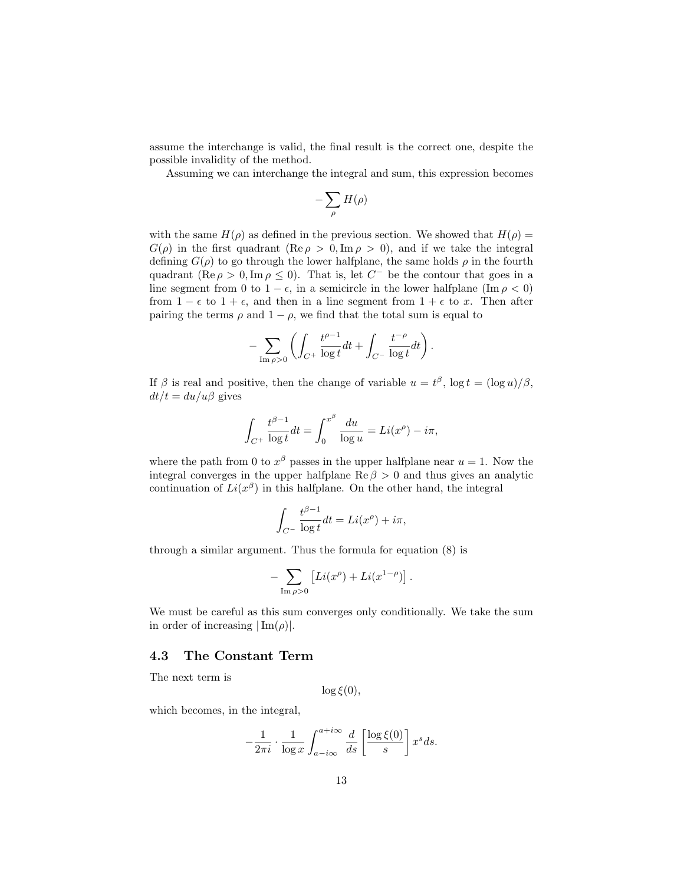assume the interchange is valid, the final result is the correct one, despite the possible invalidity of the method.

Assuming we can interchange the integral and sum, this expression becomes

$$
-\sum_{\rho} H(\rho)
$$

with the same  $H(\rho)$  as defined in the previous section. We showed that  $H(\rho)$  =  $G(\rho)$  in the first quadrant (Re  $\rho > 0$ , Im  $\rho > 0$ ), and if we take the integral defining  $G(\rho)$  to go through the lower halfplane, the same holds  $\rho$  in the fourth quadrant (Re  $\rho > 0$ , Im  $\rho \leq 0$ ). That is, let  $C^-$  be the contour that goes in a line segment from 0 to  $1 - \epsilon$ , in a semicircle in the lower halfplane (Im  $\rho < 0$ ) from  $1 - \epsilon$  to  $1 + \epsilon$ , and then in a line segment from  $1 + \epsilon$  to x. Then after pairing the terms  $\rho$  and  $1 - \rho$ , we find that the total sum is equal to

$$
-\sum_{\text{Im}\,\rho>0}\left(\int_{C^+}\frac{t^{\rho-1}}{\log t}dt+\int_{C^-}\frac{t^{-\rho}}{\log t}dt\right).
$$

If  $\beta$  is real and positive, then the change of variable  $u = t^{\beta}$ ,  $\log t = (\log u)/\beta$ ,  $dt/t = du/u\beta$  gives

$$
\int_{C^+} \frac{t^{\beta - 1}}{\log t} dt = \int_0^{x^{\beta}} \frac{du}{\log u} = Li(x^{\rho}) - i\pi,
$$

where the path from 0 to  $x^{\beta}$  passes in the upper halfplane near  $u = 1$ . Now the integral converges in the upper halfplane  $\text{Re } \beta > 0$  and thus gives an analytic continuation of  $Li(x^{\beta})$  in this halfplane. On the other hand, the integral

$$
\int_{C^{-}} \frac{t^{\beta - 1}}{\log t} dt = Li(x^{\rho}) + i\pi,
$$

through a similar argument. Thus the formula for equation (8) is

$$
-\sum_{\text{Im }\rho>0} \left[ Li(x^{\rho}) + Li(x^{1-\rho}) \right]
$$

.

We must be careful as this sum converges only conditionally. We take the sum in order of increasing  $|\text{Im}(\rho)|$ .

#### 4.3 The Constant Term

The next term is

 $\log \xi(0)$ ,

which becomes, in the integral,

$$
-\frac{1}{2\pi i} \cdot \frac{1}{\log x} \int_{a-i\infty}^{a+i\infty} \frac{d}{ds} \left[ \frac{\log \xi(0)}{s} \right] x^s ds.
$$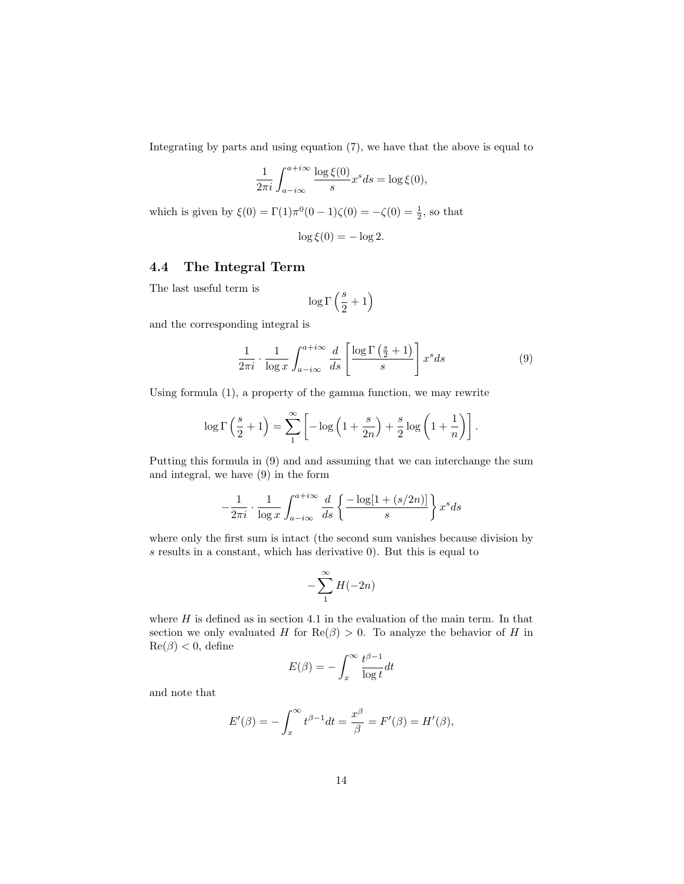Integrating by parts and using equation (7), we have that the above is equal to

$$
\frac{1}{2\pi i} \int_{a-i\infty}^{a+i\infty} \frac{\log \xi(0)}{s} x^s ds = \log \xi(0),
$$

which is given by  $\xi(0) = \Gamma(1)\pi^0(0-1)\zeta(0) = -\zeta(0) = \frac{1}{2}$ , so that

$$
\log \xi(0) = -\log 2.
$$

### 4.4 The Integral Term

The last useful term is

$$
\log\Gamma\left(\frac{s}{2}+1\right)
$$

and the corresponding integral is

$$
\frac{1}{2\pi i} \cdot \frac{1}{\log x} \int_{a-i\infty}^{a+i\infty} \frac{d}{ds} \left[ \frac{\log \Gamma\left(\frac{s}{2} + 1\right)}{s} \right] x^s ds \tag{9}
$$

Using formula (1), a property of the gamma function, we may rewrite

$$
\log \Gamma\left(\frac{s}{2} + 1\right) = \sum_{1}^{\infty} \left[ -\log\left(1 + \frac{s}{2n}\right) + \frac{s}{2}\log\left(1 + \frac{1}{n}\right) \right].
$$

Putting this formula in (9) and and assuming that we can interchange the sum and integral, we have (9) in the form

$$
-\frac{1}{2\pi i} \cdot \frac{1}{\log x} \int_{a-i\infty}^{a+i\infty} \frac{d}{ds} \left\{ \frac{-\log[1 + (s/2n)]}{s} \right\} x^s ds
$$

where only the first sum is intact (the second sum vanishes because division by s results in a constant, which has derivative 0). But this is equal to

$$
-\sum_{1}^{\infty} H(-2n)
$$

where  $H$  is defined as in section 4.1 in the evaluation of the main term. In that section we only evaluated H for  $\text{Re}(\beta) > 0$ . To analyze the behavior of H in  $\text{Re}(\beta) < 0$ , define

$$
E(\beta) = -\int_x^{\infty} \frac{t^{\beta - 1}}{\log t} dt
$$

and note that

$$
E'(\beta) = -\int_x^{\infty} t^{\beta - 1} dt = \frac{x^{\beta}}{\beta} = F'(\beta) = H'(\beta),
$$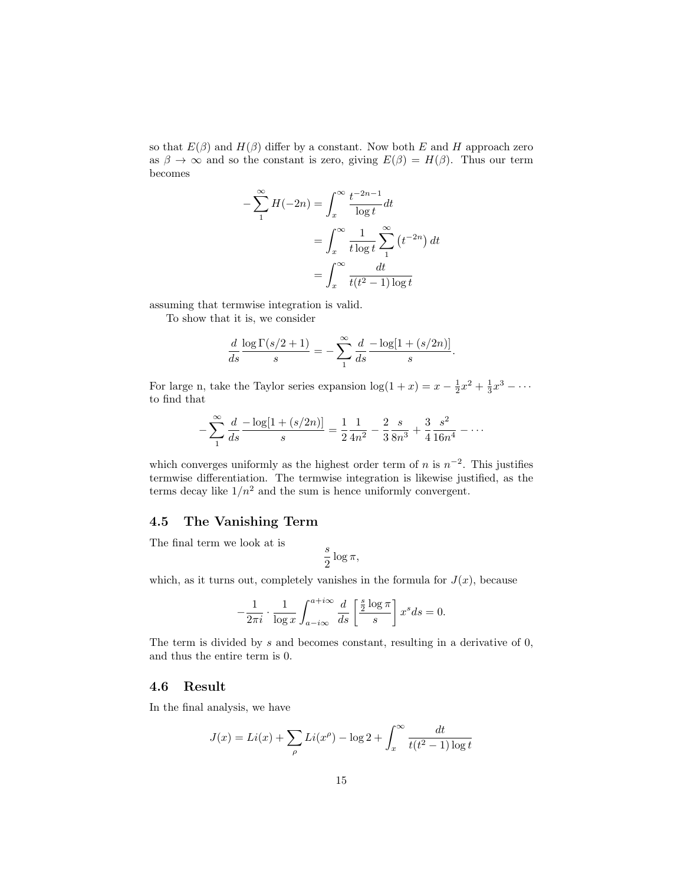so that  $E(\beta)$  and  $H(\beta)$  differ by a constant. Now both E and H approach zero as  $\beta \to \infty$  and so the constant is zero, giving  $E(\beta) = H(\beta)$ . Thus our term becomes

$$
-\sum_{1}^{\infty} H(-2n) = \int_{x}^{\infty} \frac{t^{-2n-1}}{\log t} dt
$$

$$
= \int_{x}^{\infty} \frac{1}{t \log t} \sum_{1}^{\infty} (t^{-2n}) dt
$$

$$
= \int_{x}^{\infty} \frac{dt}{t(t^2 - 1) \log t}
$$

assuming that termwise integration is valid.

To show that it is, we consider

$$
\frac{d}{ds} \frac{\log \Gamma(s/2 + 1)}{s} = -\sum_{1}^{\infty} \frac{d}{ds} \frac{-\log[1 + (s/2n)]}{s}.
$$

For large n, take the Taylor series expansion  $\log(1+x) = x - \frac{1}{2}x^2 + \frac{1}{3}x^3 - \cdots$ to find that

$$
-\sum_{1}^{\infty} \frac{d}{ds} \frac{-\log[1 + (s/2n)]}{s} = \frac{1}{2} \frac{1}{4n^2} - \frac{2}{3} \frac{s}{8n^3} + \frac{3}{4} \frac{s^2}{16n^4} - \dots
$$

which converges uniformly as the highest order term of n is  $n^{-2}$ . This justifies termwise differentiation. The termwise integration is likewise justified, as the terms decay like  $1/n^2$  and the sum is hence uniformly convergent.

### 4.5 The Vanishing Term

The final term we look at is

$$
\frac{s}{2}\log\pi,
$$

which, as it turns out, completely vanishes in the formula for  $J(x)$ , because

$$
-\frac{1}{2\pi i} \cdot \frac{1}{\log x} \int_{a-i\infty}^{a+i\infty} \frac{d}{ds} \left[ \frac{\frac{s}{2} \log \pi}{s} \right] x^s ds = 0.
$$

The term is divided by s and becomes constant, resulting in a derivative of 0, and thus the entire term is 0.

#### 4.6 Result

In the final analysis, we have

$$
J(x) = Li(x) + \sum_{\rho} Li(x^{\rho}) - \log 2 + \int_{x}^{\infty} \frac{dt}{t(t^2 - 1) \log t}
$$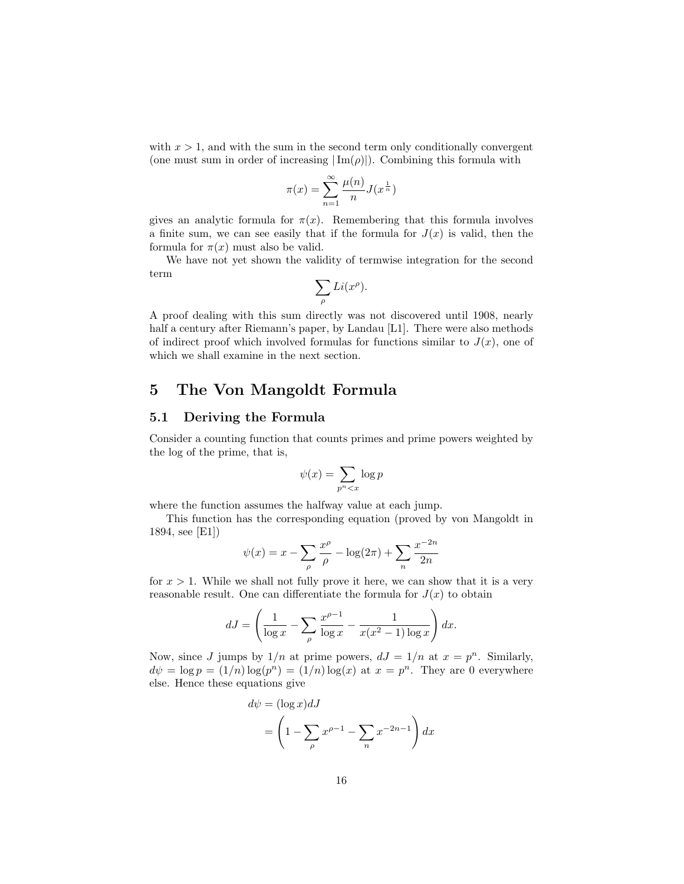with  $x > 1$ , and with the sum in the second term only conditionally convergent (one must sum in order of increasing  $|\text{Im}(\rho)|$ ). Combining this formula with

$$
\pi(x) = \sum_{n=1}^{\infty} \frac{\mu(n)}{n} J(x^{\frac{1}{n}})
$$

gives an analytic formula for  $\pi(x)$ . Remembering that this formula involves a finite sum, we can see easily that if the formula for  $J(x)$  is valid, then the formula for  $\pi(x)$  must also be valid.

We have not yet shown the validity of termwise integration for the second term

$$
\sum_{\rho} Li(x^{\rho}).
$$

A proof dealing with this sum directly was not discovered until 1908, nearly half a century after Riemann's paper, by Landau [L1]. There were also methods of indirect proof which involved formulas for functions similar to  $J(x)$ , one of which we shall examine in the next section.

# 5 The Von Mangoldt Formula

#### 5.1 Deriving the Formula

Consider a counting function that counts primes and prime powers weighted by the log of the prime, that is,

$$
\psi(x) = \sum_{p^n < x} \log p
$$

where the function assumes the halfway value at each jump.

This function has the corresponding equation (proved by von Mangoldt in 1894, see [E1])

$$
\psi(x) = x - \sum_{\rho} \frac{x^{\rho}}{\rho} - \log(2\pi) + \sum_{n} \frac{x^{-2n}}{2n}
$$

for  $x > 1$ . While we shall not fully prove it here, we can show that it is a very reasonable result. One can differentiate the formula for  $J(x)$  to obtain

$$
dJ = \left(\frac{1}{\log x} - \sum_{\rho} \frac{x^{\rho - 1}}{\log x} - \frac{1}{x(x^2 - 1)\log x}\right) dx.
$$

Now, since J jumps by  $1/n$  at prime powers,  $dJ = 1/n$  at  $x = p^n$ . Similarly,  $d\psi = \log p = (1/n) \log(p^n) = (1/n) \log(x)$  at  $x = p^n$ . They are 0 everywhere else. Hence these equations give

$$
d\psi = (\log x) dJ
$$
  
= 
$$
\left(1 - \sum_{\rho} x^{\rho - 1} - \sum_{n} x^{-2n-1}\right) dx
$$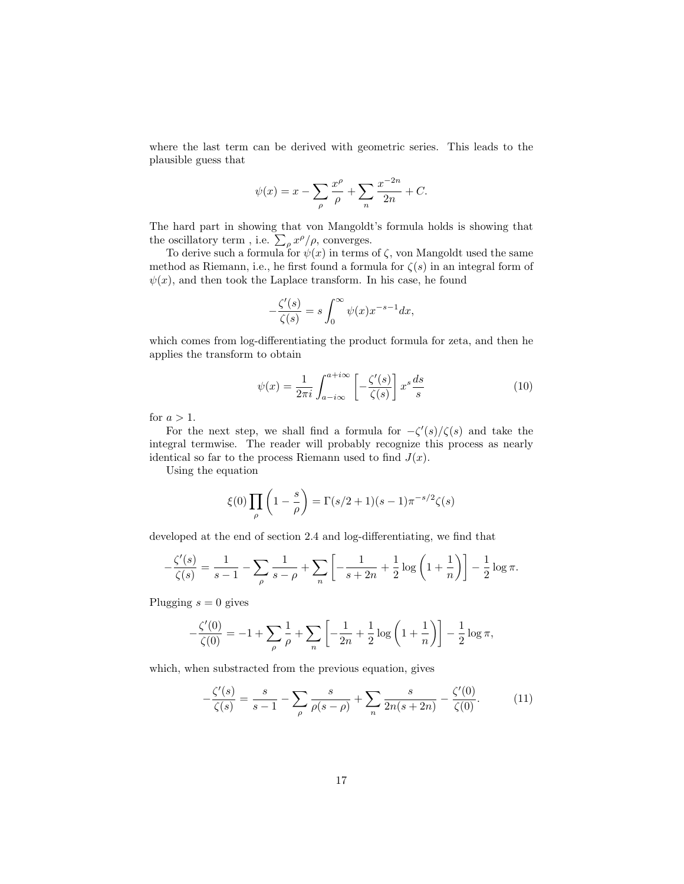where the last term can be derived with geometric series. This leads to the plausible guess that

$$
\psi(x) = x - \sum_{\rho} \frac{x^{\rho}}{\rho} + \sum_{n} \frac{x^{-2n}}{2n} + C.
$$

The hard part in showing that von Mangoldt's formula holds is showing that the oscillatory term, i.e.  $\sum_{\rho} x^{\rho}/\rho$ , converges.

To derive such a formula for  $\psi(x)$  in terms of  $\zeta$ , von Mangoldt used the same method as Riemann, i.e., he first found a formula for  $\zeta(s)$  in an integral form of  $\psi(x)$ , and then took the Laplace transform. In his case, he found

$$
-\frac{\zeta'(s)}{\zeta(s)} = s \int_0^\infty \psi(x) x^{-s-1} dx,
$$

which comes from log-differentiating the product formula for zeta, and then he applies the transform to obtain

$$
\psi(x) = \frac{1}{2\pi i} \int_{a-i\infty}^{a+i\infty} \left[ -\frac{\zeta'(s)}{\zeta(s)} \right] x^s \frac{ds}{s} \tag{10}
$$

for  $a > 1$ .

For the next step, we shall find a formula for  $-\zeta'(s)/\zeta(s)$  and take the integral termwise. The reader will probably recognize this process as nearly identical so far to the process Riemann used to find  $J(x)$ .

Using the equation

$$
\xi(0)\prod_{\rho}\left(1-\frac{s}{\rho}\right)=\Gamma(s/2+1)(s-1)\pi^{-s/2}\zeta(s)
$$

developed at the end of section 2.4 and log-differentiating, we find that

$$
-\frac{\zeta'(s)}{\zeta(s)} = \frac{1}{s-1} - \sum_{\rho} \frac{1}{s-\rho} + \sum_{n} \left[ -\frac{1}{s+2n} + \frac{1}{2} \log \left( 1 + \frac{1}{n} \right) \right] - \frac{1}{2} \log \pi.
$$

Plugging  $s = 0$  gives

$$
-\frac{\zeta'(0)}{\zeta(0)} = -1 + \sum_{\rho} \frac{1}{\rho} + \sum_{n} \left[ -\frac{1}{2n} + \frac{1}{2} \log \left( 1 + \frac{1}{n} \right) \right] - \frac{1}{2} \log \pi,
$$

which, when substracted from the previous equation, gives

$$
-\frac{\zeta'(s)}{\zeta(s)} = \frac{s}{s-1} - \sum_{\rho} \frac{s}{\rho(s-\rho)} + \sum_{n} \frac{s}{2n(s+2n)} - \frac{\zeta'(0)}{\zeta(0)}.
$$
 (11)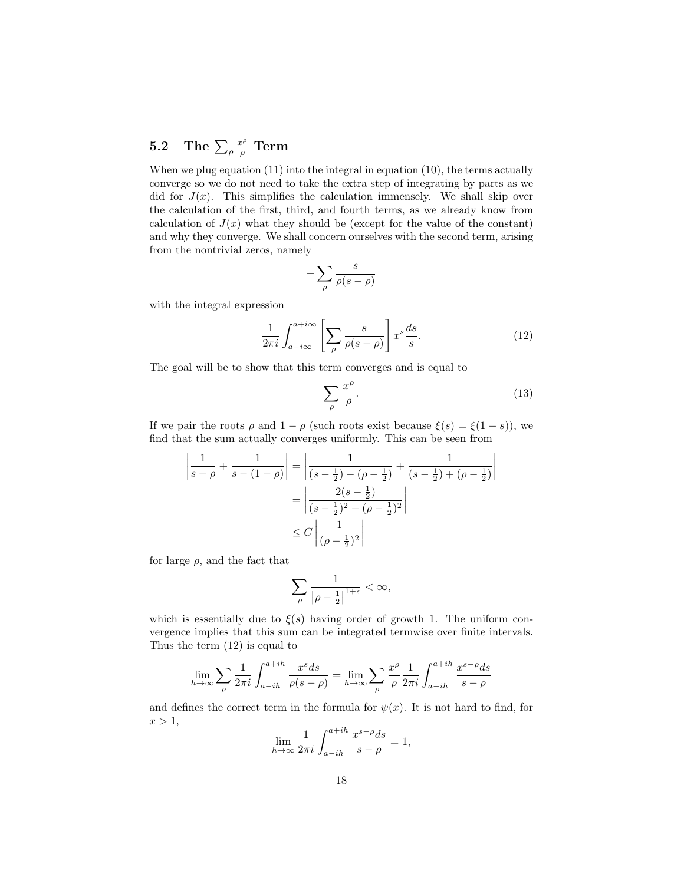#### $5.2$  The  $\sum_\rho$  $x^{\rho}$  $\frac{c^\rho}{\rho} \; \mathrm{Term}$

When we plug equation (11) into the integral in equation (10), the terms actually converge so we do not need to take the extra step of integrating by parts as we did for  $J(x)$ . This simplifies the calculation immensely. We shall skip over the calculation of the first, third, and fourth terms, as we already know from calculation of  $J(x)$  what they should be (except for the value of the constant) and why they converge. We shall concern ourselves with the second term, arising from the nontrivial zeros, namely

$$
-\sum_{\rho}\frac{s}{\rho(s-\rho)}
$$

with the integral expression

$$
\frac{1}{2\pi i} \int_{a-i\infty}^{a+i\infty} \left[ \sum_{\rho} \frac{s}{\rho(s-\rho)} \right] x^s \frac{ds}{s}.
$$
 (12)

The goal will be to show that this term converges and is equal to

$$
\sum_{\rho} \frac{x^{\rho}}{\rho}.
$$
\n(13)

If we pair the roots  $\rho$  and  $1 - \rho$  (such roots exist because  $\xi(s) = \xi(1 - s)$ ), we find that the sum actually converges uniformly. This can be seen from

$$
\left| \frac{1}{s-\rho} + \frac{1}{s - (1-\rho)} \right| = \left| \frac{1}{(s-\frac{1}{2}) - (\rho-\frac{1}{2})} + \frac{1}{(s-\frac{1}{2}) + (\rho-\frac{1}{2})} \right|
$$

$$
= \left| \frac{2(s-\frac{1}{2})}{(s-\frac{1}{2})^2 - (\rho-\frac{1}{2})^2} \right|
$$

$$
\leq C \left| \frac{1}{(\rho-\frac{1}{2})^2} \right|
$$

for large  $\rho$ , and the fact that

$$
\sum_{\rho}\frac{1}{\left|\rho-\frac{1}{2}\right|^{1+\epsilon}}<\infty,
$$

which is essentially due to  $\xi(s)$  having order of growth 1. The uniform convergence implies that this sum can be integrated termwise over finite intervals. Thus the term (12) is equal to

$$
\lim_{h \to \infty} \sum_{\rho} \frac{1}{2\pi i} \int_{a-ih}^{a+ih} \frac{x^s ds}{\rho(s-\rho)} = \lim_{h \to \infty} \sum_{\rho} \frac{x^{\rho}}{\rho} \frac{1}{2\pi i} \int_{a-ih}^{a+ih} \frac{x^{s-\rho} ds}{s-\rho}
$$

and defines the correct term in the formula for  $\psi(x)$ . It is not hard to find, for  $x > 1$ ,

$$
\lim_{h \to \infty} \frac{1}{2\pi i} \int_{a-ih}^{a+ih} \frac{x^{s-\rho} ds}{s-\rho} = 1,
$$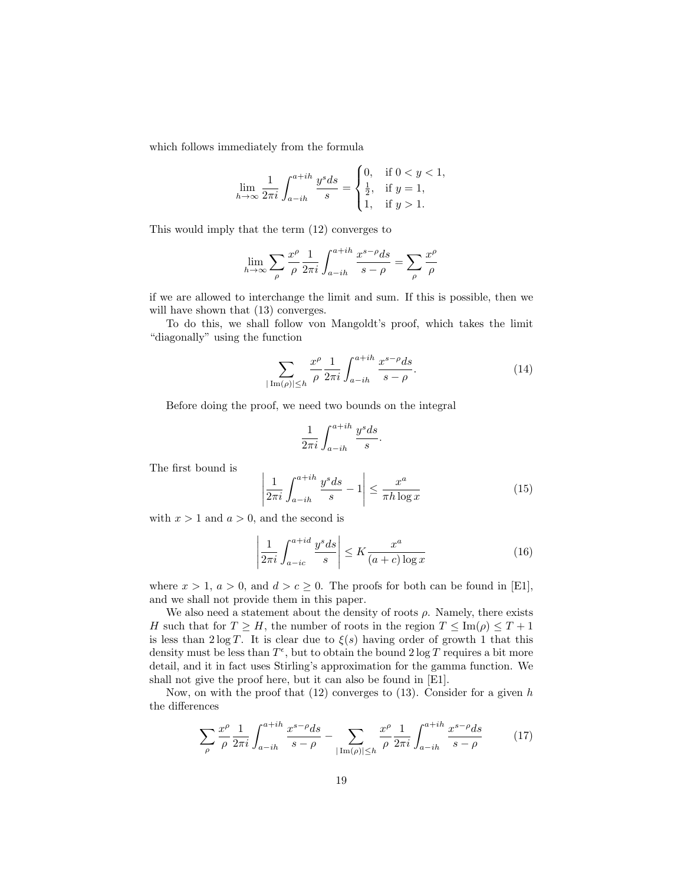which follows immediately from the formula

$$
\lim_{h \to \infty} \frac{1}{2\pi i} \int_{a - ih}^{a + ih} \frac{y^s ds}{s} = \begin{cases} 0, & \text{if } 0 < y < 1, \\ \frac{1}{2}, & \text{if } y = 1, \\ 1, & \text{if } y > 1. \end{cases}
$$

This would imply that the term (12) converges to

$$
\lim_{h \to \infty} \sum_{\rho} \frac{x^{\rho}}{\rho} \frac{1}{2\pi i} \int_{a-ih}^{a+ih} \frac{x^{s-\rho} ds}{s-\rho} = \sum_{\rho} \frac{x^{\rho}}{\rho}
$$

if we are allowed to interchange the limit and sum. If this is possible, then we will have shown that  $(13)$  converges.

To do this, we shall follow von Mangoldt's proof, which takes the limit "diagonally" using the function

$$
\sum_{|\operatorname{Im}(\rho)| \le h} \frac{x^{\rho}}{\rho} \frac{1}{2\pi i} \int_{a-ih}^{a+ih} \frac{x^{s-\rho} ds}{s-\rho}.
$$
 (14)

Before doing the proof, we need two bounds on the integral

$$
\frac{1}{2\pi i}\int_{a-ih}^{a+ih}\frac{y^s ds}{s}.
$$

The first bound is

$$
\left|\frac{1}{2\pi i} \int_{a-ih}^{a+ih} \frac{y^s ds}{s} - 1\right| \le \frac{x^a}{\pi h \log x} \tag{15}
$$

with  $x > 1$  and  $a > 0$ , and the second is

$$
\left|\frac{1}{2\pi i} \int_{a-ic}^{a+id} \frac{y^s ds}{s}\right| \le K \frac{x^a}{(a+c)\log x} \tag{16}
$$

where  $x > 1$ ,  $a > 0$ , and  $d > c \ge 0$ . The proofs for both can be found in [E1], and we shall not provide them in this paper.

We also need a statement about the density of roots  $\rho$ . Namely, there exists H such that for  $T \geq H$ , the number of roots in the region  $T \leq \text{Im}(\rho) \leq T + 1$ is less than  $2 \log T$ . It is clear due to  $\xi(s)$  having order of growth 1 that this density must be less than  $T^{\epsilon}$ , but to obtain the bound  $2 \log T$  requires a bit more detail, and it in fact uses Stirling's approximation for the gamma function. We shall not give the proof here, but it can also be found in [E1].

Now, on with the proof that  $(12)$  converges to  $(13)$ . Consider for a given h the differences

$$
\sum_{\rho} \frac{x^{\rho}}{\rho} \frac{1}{2\pi i} \int_{a-ih}^{a+ih} \frac{x^{s-\rho} ds}{s-\rho} - \sum_{|\operatorname{Im}(\rho)| \le h} \frac{x^{\rho}}{\rho} \frac{1}{2\pi i} \int_{a-ih}^{a+ih} \frac{x^{s-\rho} ds}{s-\rho}
$$
(17)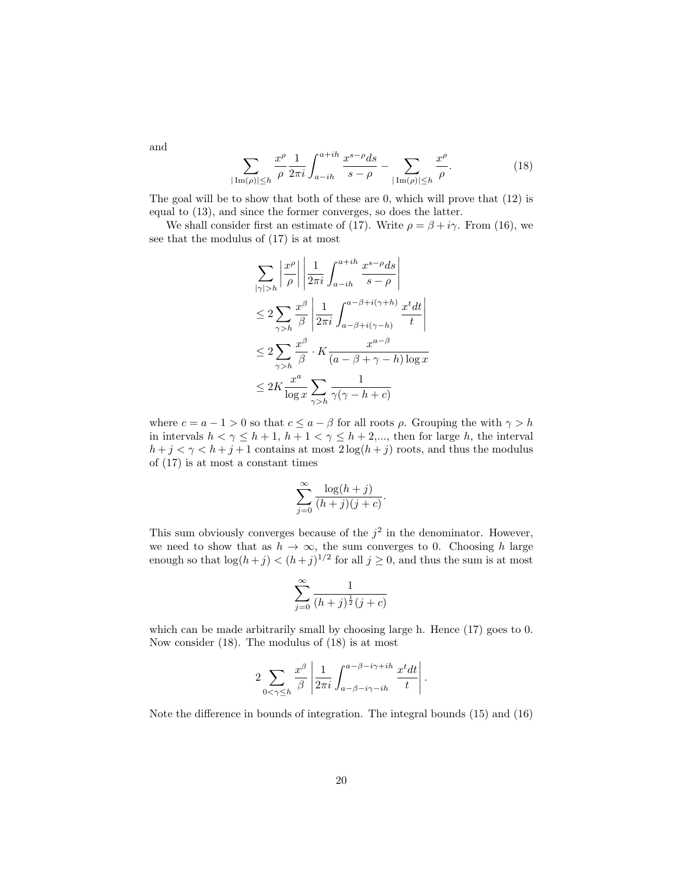$$
\sum_{|\text{Im}(\rho)| \le h} \frac{x^{\rho}}{\rho} \frac{1}{2\pi i} \int_{a-ih}^{a+ih} \frac{x^{s-\rho} ds}{s-\rho} - \sum_{|\text{Im}(\rho)| \le h} \frac{x^{\rho}}{\rho}.
$$
 (18)

The goal will be to show that both of these are 0, which will prove that (12) is equal to (13), and since the former converges, so does the latter.

We shall consider first an estimate of (17). Write  $\rho = \beta + i\gamma$ . From (16), we see that the modulus of (17) is at most

$$
\sum_{|\gamma|>h} \left| \frac{x^{\rho}}{\rho} \right| \left| \frac{1}{2\pi i} \int_{a-ih}^{a+ih} \frac{x^{s-\rho} ds}{s-\rho} \right|
$$
  
\n
$$
\leq 2 \sum_{\gamma>h} \frac{x^{\beta}}{\beta} \left| \frac{1}{2\pi i} \int_{a-\beta+i(\gamma+h)}^{a-\beta+i(\gamma+h)} \frac{x^t dt}{t} \right|
$$
  
\n
$$
\leq 2 \sum_{\gamma>h} \frac{x^{\beta}}{\beta} \cdot K \frac{x^{a-\beta}}{(a-\beta+\gamma-h)\log x}
$$
  
\n
$$
\leq 2K \frac{x^a}{\log x} \sum_{\gamma>h} \frac{1}{\gamma(\gamma-h+c)}
$$

where  $c = a - 1 > 0$  so that  $c \le a - \beta$  for all roots  $\rho$ . Grouping the with  $\gamma > h$ in intervals  $h < \gamma \leq h+1$ ,  $h+1 < \gamma \leq h+2$ ,..., then for large h, the interval  $h + j < \gamma < h + j + 1$  contains at most  $2 \log(h + j)$  roots, and thus the modulus of (17) is at most a constant times

$$
\sum_{j=0}^{\infty} \frac{\log(h+j)}{(h+j)(j+c)}.
$$

This sum obviously converges because of the  $j^2$  in the denominator. However, we need to show that as  $h \to \infty$ , the sum converges to 0. Choosing h large enough so that  $\log(h+j) < (h+j)^{1/2}$  for all  $j \ge 0$ , and thus the sum is at most

$$
\sum_{j=0}^{\infty} \frac{1}{(h+j)^{\frac{1}{2}}(j+c)}
$$

which can be made arbitrarily small by choosing large h. Hence  $(17)$  goes to 0. Now consider (18). The modulus of (18) is at most

$$
2\sum_{0<\gamma\leq h}\frac{x^{\beta}}{\beta}\left|\frac{1}{2\pi i}\int_{a-\beta-i\gamma-ih}^{a-\beta-i\gamma+ih}\frac{x^t dt}{t}\right|.
$$

Note the difference in bounds of integration. The integral bounds (15) and (16)

and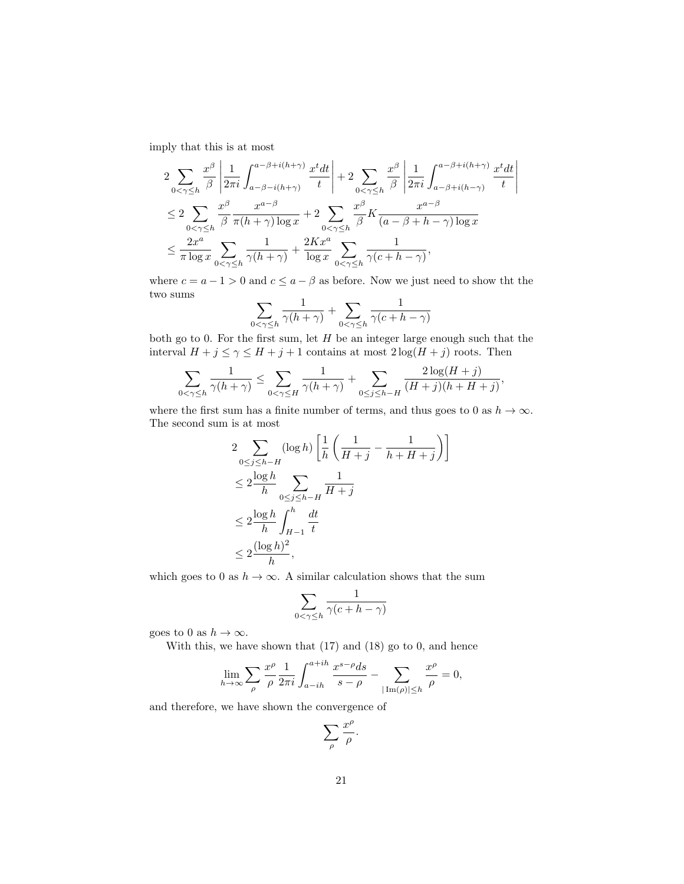imply that this is at most

$$
2\sum_{0<\gamma\leq h} \frac{x^{\beta}}{\beta} \left| \frac{1}{2\pi i} \int_{a-\beta-i(h+\gamma)}^{a-\beta+i(h+\gamma)} \frac{x^t dt}{t} \right| + 2\sum_{0<\gamma\leq h} \frac{x^{\beta}}{\beta} \left| \frac{1}{2\pi i} \int_{a-\beta+i(h-\gamma)}^{a-\beta+i(h+\gamma)} \frac{x^t dt}{t} \right|
$$
  

$$
\leq 2\sum_{0<\gamma\leq h} \frac{x^{\beta}}{\beta} \frac{x^{a-\beta}}{\pi(h+\gamma)\log x} + 2\sum_{0<\gamma\leq h} \frac{x^{\beta}}{\beta} K \frac{x^{a-\beta}}{(a-\beta+h-\gamma)\log x}
$$
  

$$
\leq \frac{2x^a}{\pi \log x} \sum_{0<\gamma\leq h} \frac{1}{\gamma(h+\gamma)} + \frac{2Kx^a}{\log x} \sum_{0<\gamma\leq h} \frac{1}{\gamma(c+h-\gamma)},
$$

where  $c = a - 1 > 0$  and  $c \le a - \beta$  as before. Now we just need to show tht the two sums

$$
\sum_{0 < \gamma \le h} \frac{1}{\gamma(h+\gamma)} + \sum_{0 < \gamma \le h} \frac{1}{\gamma(c+h-\gamma)}
$$

both go to 0. For the first sum, let  $H$  be an integer large enough such that the interval  $H+j\leq \gamma\leq H+j+1$  contains at most  $2\log(H+j)$  roots. Then

$$
\sum_{0<\gamma\leq h}\frac{1}{\gamma(h+\gamma)}\leq \sum_{0<\gamma\leq H}\frac{1}{\gamma(h+\gamma)}+\sum_{0\leq j\leq h-H}\frac{2\log(H+j)}{(H+j)(h+H+j)},
$$

where the first sum has a finite number of terms, and thus goes to 0 as  $h \to \infty$ . The second sum is at most

$$
2 \sum_{0 \le j \le h-H} (\log h) \left[ \frac{1}{h} \left( \frac{1}{H+j} - \frac{1}{h+H+j} \right) \right]
$$
  
\n
$$
\le 2 \frac{\log h}{h} \sum_{0 \le j \le h-H} \frac{1}{H+j}
$$
  
\n
$$
\le 2 \frac{\log h}{h} \int_{H-1}^{h} \frac{dt}{t}
$$
  
\n
$$
\le 2 \frac{(\log h)^2}{h},
$$

which goes to 0 as  $h \to \infty$ . A similar calculation shows that the sum

$$
\sum_{0 < \gamma \le h} \frac{1}{\gamma(c+h-\gamma)}
$$

goes to 0 as  $h \to \infty$ .

With this, we have shown that (17) and (18) go to 0, and hence

$$
\lim_{h \to \infty} \sum_{\rho} \frac{x^{\rho}}{\rho} \frac{1}{2\pi i} \int_{a-ih}^{a+ih} \frac{x^{s-\rho} ds}{s-\rho} - \sum_{|\operatorname{Im}(\rho)| \le h} \frac{x^{\rho}}{\rho} = 0,
$$

and therefore, we have shown the convergence of

$$
\sum_{\rho}\frac{x^{\rho}}{\rho}.
$$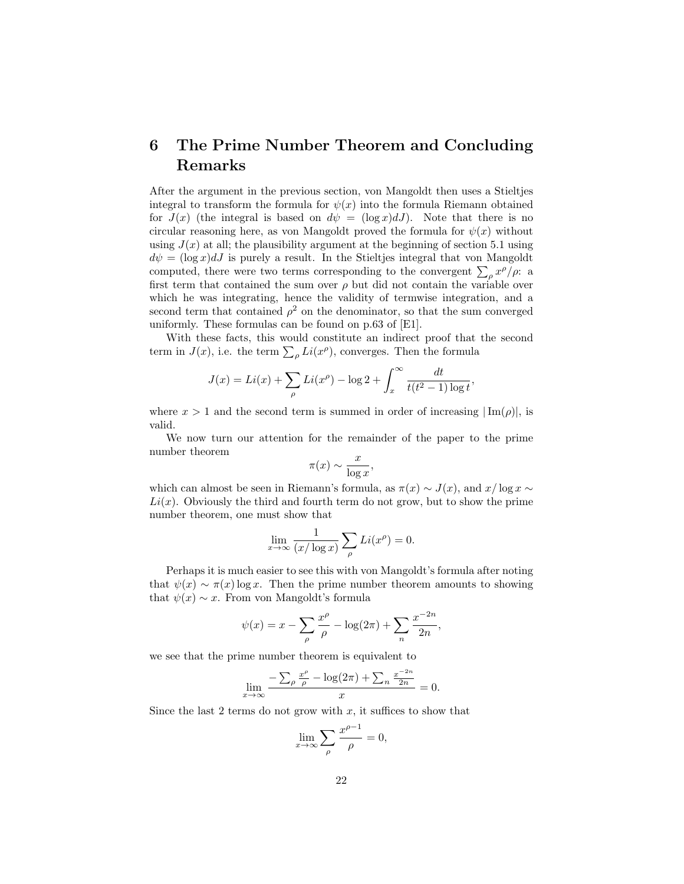# 6 The Prime Number Theorem and Concluding Remarks

After the argument in the previous section, von Mangoldt then uses a Stieltjes integral to transform the formula for  $\psi(x)$  into the formula Riemann obtained for  $J(x)$  (the integral is based on  $d\psi = (\log x) dJ$ ). Note that there is no circular reasoning here, as von Mangoldt proved the formula for  $\psi(x)$  without using  $J(x)$  at all; the plausibility argument at the beginning of section 5.1 using  $d\psi = (\log x)dJ$  is purely a result. In the Stieltjes integral that von Mangoldt computed, there were two terms corresponding to the convergent  $\sum_{\rho} x^{\rho}/\rho$ : a first term that contained the sum over  $\rho$  but did not contain the variable over which he was integrating, hence the validity of termwise integration, and a second term that contained  $\rho^2$  on the denominator, so that the sum converged uniformly. These formulas can be found on p.63 of [E1].

With these facts, this would constitute an indirect proof that the second term in  $J(x)$ , i.e. the term  $\sum_{\rho} Li(x^{\rho})$ , converges. Then the formula

$$
J(x) = Li(x) + \sum_{\rho} Li(x^{\rho}) - \log 2 + \int_{x}^{\infty} \frac{dt}{t(t^2 - 1) \log t},
$$

where  $x > 1$  and the second term is summed in order of increasing  $|\text{Im}(\rho)|$ , is valid.

We now turn our attention for the remainder of the paper to the prime number theorem

$$
\pi(x) \sim \frac{x}{\log x},
$$

which can almost be seen in Riemann's formula, as  $\pi(x) \sim J(x)$ , and  $x/\log x \sim$  $Li(x)$ . Obviously the third and fourth term do not grow, but to show the prime number theorem, one must show that

$$
\lim_{x \to \infty} \frac{1}{(x/\log x)} \sum_{\rho} Li(x^{\rho}) = 0.
$$

Perhaps it is much easier to see this with von Mangoldt's formula after noting that  $\psi(x) \sim \pi(x) \log x$ . Then the prime number theorem amounts to showing that  $\psi(x) \sim x$ . From von Mangoldt's formula

$$
\psi(x) = x - \sum_{\rho} \frac{x^{\rho}}{\rho} - \log(2\pi) + \sum_{n} \frac{x^{-2n}}{2n},
$$

we see that the prime number theorem is equivalent to

$$
\lim_{x \to \infty} \frac{-\sum_{\rho} \frac{x^{\rho}}{\rho} - \log(2\pi) + \sum_{n} \frac{x^{-2n}}{2n}}{x} = 0.
$$

Since the last 2 terms do not grow with  $x$ , it suffices to show that

$$
\lim_{x \to \infty} \sum_{\rho} \frac{x^{\rho - 1}}{\rho} = 0,
$$